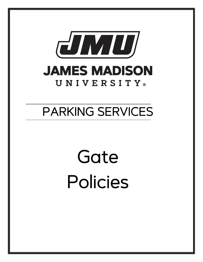

# PARKING SERVICES

 $\overline{a}$ 

# Gate Policies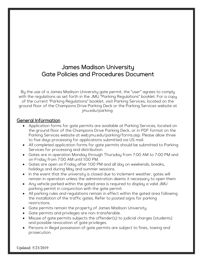# James Madison University Gate Policies and Procedures Document

By the use of a James Madison University gate permit, the "user" agrees to comply with the regulations as set forth in the JMU "Parking Regulations" booklet. For a copy of the current "Parking Regulations" booklet, visit Parking Services, located on the ground floor of the Champions Drive Parking Deck or the Parking Services website at jmu.edu/parking.

#### General Information

- Application forms for gate permits are available at Parking Services, located on the ground floor of the Champions Drive Parking Deck, or in PDF format on the Parking Services website at web.jmu.edu/parking/forms.asp. Please allow three to five days processing for applications submitted via US mail.
- All completed application forms for gate permits should be submitted to Parking Services for processing and distribution.
- Gates are in operation Monday through Thursday from 7:00 AM to 7:00 PM and on Friday from 7:00 AM until 1:00 PM.
- Gates are open on Friday after 1:00 PM and all day on weekends, breaks, holidays and during May and summer sessions.
- In the event that the university is closed due to inclement weather, gates will remain in operation unless the administration deems it necessary to open them.
- Any vehicle parked within the gated area is required to display a valid JMU parking permit in conjunction with the gate permit.
- All parking rules and regulations remain in effect within the gated area following the installation of the traffic gates. Refer to posted signs for parking restrictions.
- Gate permits remain the property of James Madison University.
- Gate permits and privileges are non-transferable.
- Misuse of gate permits subjects the offender(s) to judicial charges (students) and possible revocation of gate privileges.
- Persons in illegal possession of gate permits are subject to fines, towing and prosecution.

Updated: 5/23/2019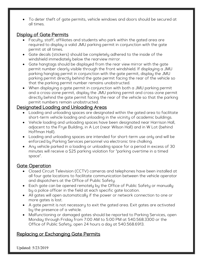• To deter theft of gate permits, vehicle windows and doors should be secured at all times.

# Display of Gate Permits

- Faculty, staff, affiliates and students who park within the gated area are required to display a valid JMU parking permit in conjunction with the gate permit at all times.
- Gate decals (stickers) should be completely adhered to the inside of the windshield immediately below the rearview mirror.
- Gate hangtags should be displayed from the rear view mirror with the gate permit number clearly visible through the front windshield. If displaying a JMU parking hangtag permit in conjunction with the gate permit, display the JMU parking permit directly behind the gate permit facing the rear of the vehicle so that the parking permit number remains unobstructed.
- When displaying a gate permit in conjunction with both a JMU parking permit and a cross-zone permit, display the JMU parking permit and cross-zone permit directly behind the gate permit facing the rear of the vehicle so that the parking permit numbers remain unobstructed.

#### Designated Loading and Unloading Areas

- Loading and unloading spaces are designated within the gated area to facilitate short-term vehicle loading and unloading in the vicinity of academic buildings.
- Vehicle loading and unloading spaces have been designated near Harrison Hall, adjacent to the Frye Building, in A Lot (near Wilson Hall) and in W Lot (behind Hoffman Hall).
- Loading and unloading spaces are intended for short-term use only and will be enforced by Parking Services personnel via electronic tire chalking.
- Any vehicle parked in a loading or unloading space for a period in excess of 30 minutes will receive a \$25 parking violation for "parking overtime in a timed space".

# Gate Operation

- Closed Circuit Television (CCTV) cameras and telephones have been installed at all four gate locations to facilitate communication between the vehicle operator and dispatchers at the Office of Public Safety.
- Each gate can be opened remotely by the Office of Public Safety or manually by a police officer in the field at each specific gate location.
- All gates will open automatically if the power or network connection to one or more gates is lost.
- A gate permit is not necessary to exit the gated area. Exit gates are activated by the presence of a vehicle.
- Malfunctioning or damaged gates should be reported to Parking Services, open Monday through Friday from 7:00 AM to 5:00 PM at 540.568.3300 or the Office of Public Safety, open 24 hours a day at 540.568.6913.

# Replacing or Exchanging Gate Permits

Updated: 5/23/2019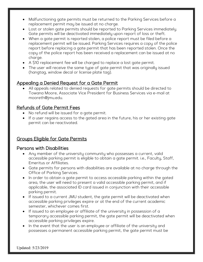- Malfunctioning gate permits must be returned to the Parking Services before a replacement permit may be issued at no charge.
- Lost or stolen gate permits should be reported to Parking Services immediately. Gate permits will be deactivated immediately upon report of loss or theft.
- When a gate permit is reported stolen, a police report must be filed before a replacement permit will be issued. Parking Services requires a copy of the police report before replacing a gate permit that has been reported stolen. Once the copy of the police report has been received a replacement can be issued at no charge.
- A \$10 replacement fee will be charged to replace a lost gate permit.
- The user will receive the same type of gate permit that was originally issued (hangtag, window decal or license plate tag).

# Appealing a Denied Request for a Gate Permit

• All appeals related to denied requests for gate permits should be directed to Towana Moore, Associate Vice President for Business Services via e-mail at mooreth@jmu.edu.

# Refunds of Gate Permit Fees

- No refund will be issued for a gate permit.
- If a user regains access to the gated area in the future, his or her existing gate permit can be reactivated.

# Groups Eligible for Gate Permits

# Persons with Disabilities

- Any member of the university community who possesses a current, valid accessible parking permit is eligible to obtain a gate permit. i.e., Faculty, Staff, Emeritus or Affiliates.
- Gate permits for persons with disabilities are available at no charge through the Office of Parking Services.
- In order to obtain a gate permit to access accessible parking within the gated area, the user will need to present a valid accessible parking permit, and if applicable, the associated ID card issued in conjunction with their accessible parking permit.
- If issued to a current JMU student, the gate permit will be deactivated when accessible parking privileges expire or at the end of the current academic semester, whichever comes first.
- If issued to an employee or affiliate of the university in possession of a temporary accessible parking permit, the gate permit will be deactivated when accessible parking privileges expire.
- In the event that the user is an employee or affiliate of the university and possesses a permanent accessible parking permit, the gate permit must be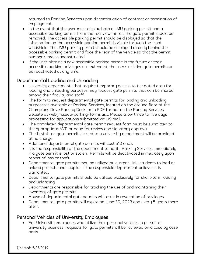returned to Parking Services upon discontinuation of contract or termination of employment.

- In the event that the user must display both a JMU parking permit and a accessible parking permit from the rearview mirror, the gate permit should be removed. The accessible parking permit should be displayed so that the information on the accessible parking permit is visible through the front windshield. The JMU parking permit should be displayed directly behind the accessible parking permit and face the rear of the vehicle so that the permit number remains unobstructed.
- If the user obtains a new accessible parking permit in the future or their accessible parking privileges are extended, the user's existing gate permit can be reactivated at any time.

# Departmental Loading and Unloading

- University departments that require temporary access to the gated area for loading and unloading purposes may request gate permits that can be shared among their faculty and staff.
- The form to request departmental gate permits for loading and unloading purposes is available at Parking Services, located on the ground floor of the Champions Drive Parking Deck, or in PDF format on the Parking Services website at web.jmu.edu/parking/forms.asp. Please allow three to five days processing for applications submitted via US mail.
- The completed departmental gate permit request form must be submitted to the appropriate AVP or dean for review and signatory approval.
- The first three gate permits issued to a university department will be provided at no charge.
- Additional departmental gate permits will cost \$10 each.
- It is the responsibility of the department to notify Parking Services immediately if a gate permit is lost or stolen. Permits will be deactivated immediately upon report of loss or theft.
- Departmental gate permits may be utilized by current JMU students to load or unload projects and supplies if the responsible department believes it is warranted.
- Departmental gate permits should be utilized exclusively for short-term loading and unloading.
- Departments are responsible for tracking the use of and maintaining their inventory of gate permits.
- Abuse of departmental gate permits will result in revocation of privileges.
- Departmental gate permits will expire on June 30, 2023 and every 5 years there after.

# Personal Vehicles of University Employees

• For University employees who utilize their personal vehicles in pursuit of university business, requests for gate permits will be reviewed on a case by case basis.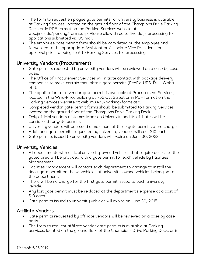- The form to request employee gate permits for university business is available at Parking Services, located on the ground floor of the Champions Drive Parking Deck, or in PDF format on the Parking Services website at web.jmu.edu/parking/forms.asp. Please allow three to five days processing for applications submitted via US mail.
- The employee gate permit form should be completed by the employee and forwarded to the appropriate Assistant or Associate Vice President for approval prior to being sent to Parking Services for processing.

# University Vendors (Procurement)

- Gate permits requested by university vendors will be reviewed on a case by case basis.
- The Office of Procurement Services will initiate contact with package delivery companies to make certain they obtain gate permits (FedEx, UPS, DHL, Global, etc).
- The application for a vendor gate permit is available at Procurement Services, located in the Wine-Price building at 752 Ott Street or in PDF format on the Parking Services website at web.jmu.edu/parking/forms.asp.
- Completed vendor gate permit forms should be submitted to Parking Services, located on the ground floor of the Champions Drive Parking Deck.
- Only official vendors of James Madison University and its affiliates will be considered for gate permits.
- University vendors will be issued a maximum of three gate permits at no charge.
- Additional gate permits requested by university vendors will cost \$10 each.
- Gate permits issued to university vendors will expire on June 30, 2023.

# University Vehicles

- All departments with official university-owned vehicles that require access to the gated area will be provided with a gate permit for each vehicle by Facilities Management.
- Facilities Management will contact each department to arrange to install the decal gate permit on the windshields of university-owned vehicles belonging to the department.
- There will be no charge for the first gate permit issued to each university vehicle.
- Any lost gate permit must be replaced at the department's expense at a cost of \$10 each.
- Gate permits issued to university vehicles will expire on June 30, 2015.

# Affiliate Vendors

- Gate permits requested by affiliate vendors will be reviewed on a case by case basis.
- The form to request affiliate vendor gate permits is available at Parking Services, located on the ground floor of the Champions Drive Parking Deck, or in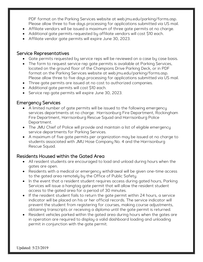PDF format on the Parking Services website at web.jmu.edu/parking/forms.asp. Please allow three to five days processing for applications submitted via US mail.

- Affiliate vendors will be issued a maximum of three gate permits at no charge.
- Additional gate permits requested by affiliate vendors will cost \$10 each.
- Affiliate vendor gate permits will expire June 30, 2023.

#### Service Representatives

- Gate permits requested by service reps will be reviewed on a case by case basis.
- The form to request service rep gate permits is available at Parking Services, located on the ground floor of the Champions Drive Parking Deck, or in PDF format on the Parking Services website at web.jmu.edu/parking/forms.asp. Please allow three to five days processing for applications submitted via US mail.
- Three gate permits are issued at no cost to authorized companies.
- Additional gate permits will cost \$10 each.
- Service rep gate permits will expire June 30, 2023.

#### Emergency Services

- A limited number of gate permits will be issued to the following emergency services departments at no charge: Harrisonburg Fire Department, Rockingham Fire Department, Harrisonburg Rescue Squad and Harrisonburg Police Department.
- The JMU Chief of Police will provide and maintain a list of eligible emergency service departments for Parking Services.
- A maximum of five gate permits per organization may be issued at no charge to students associated with JMU Hose Company No. 4 and the Harrisonburg Rescue Squad.

# Residents Housed within the Gated Area

- All resident students are encouraged to load and unload during hours when the gates are open.
- Residents with a medical or emergency withdrawal will be given one-time access to the gated area remotely by the Office of Public Safety.
- In the event that a resident student requires access during gated hours, Parking Services will issue a hangtag gate permit that will allow the resident student access to the gated area for a period of 30 minutes.
- If the resident student fails to return the gate permit within 24 hours, a service indicator will be placed on his or her official records. The service indicator will prevent the student from registering for courses, making course adjustments, obtaining transcripts or receiving a diploma until the gate permit is returned.
- Resident vehicles parked within the gated area during hours when the gates are in operation are required to display a valid dashboard loading and unloading permit in conjunction with the gate permit.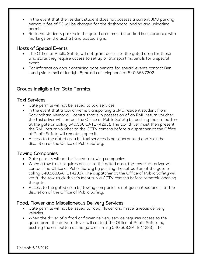- In the event that the resident student does not possess a current JMU parking permit, a fee of \$3 will be charged for the dashboard loading and unloading permit.
- Resident students parked in the gated area must be parked in accordance with markings on the asphalt and posted signs.

# Hosts of Special Events

- The Office of Public Safety will not grant access to the gated area for those who state they require access to set up or transport materials for a special event.
- For information about obtaining gate permits for special events contact Ben Lundy via e-mail at lundybs@jmu.edu or telephone at 540.568.7202.

# Groups Ineligible for Gate Permits

#### Taxi Services

- Gate permits will not be issued to taxi services.
- In the event that a taxi driver is transporting a JMU resident student from Rockingham Memorial Hospital that is in possession of an RMH return voucher, the taxi driver will contact the Office of Public Safety by pushing the call button at the gate or calling 540.568.GATE (4283). The taxi driver must then present the RMH return voucher to the CCTV camera before a dispatcher at the Office of Public Safety will remotely open it.
- Access to the gated area by taxi services is not guaranteed and is at the discretion of the Office of Public Safety.

# Towing Companies

- Gate permits will not be issued to towing companies.
- When a tow truck requires access to the gated area, the tow truck driver will contact the Office of Public Safety by pushing the call button at the gate or calling 540.568.GATE (4283). The dispatcher at the Office of Public Safety will verify the tow truck driver's identity via CCTV camera before remotely opening the gate.
- Access to the gated area by towing companies is not guaranteed and is at the discretion of the Office of Public Safety.

# Food, Flower and Miscellaneous Delivery Services

- Gate permits will not be issued to food, flower and miscellaneous delivery vehicles.
- When the driver of a food or flower delivery service requires access to the gated area, the delivery driver will contact the Office of Public Safety by pushing the call button at the gate or calling 540.568.GATE (4283). The